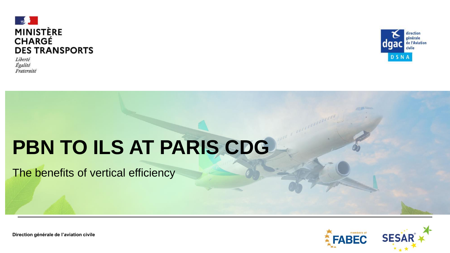

Liberté Égalité Fraternité



# **PBN TO ILS AT PARIS CDG**

The benefits of vertical efficiency

**FABEC SESA** 

**Direction générale de l'aviation civile**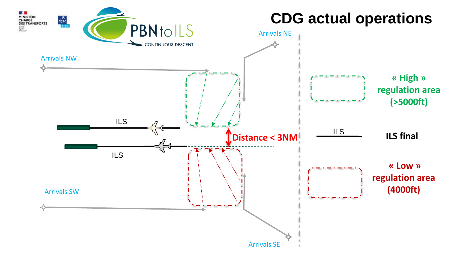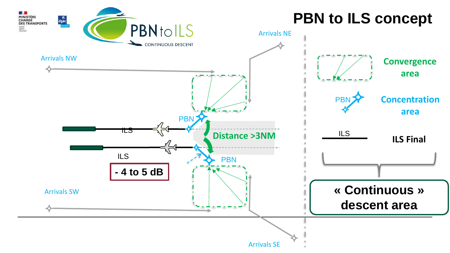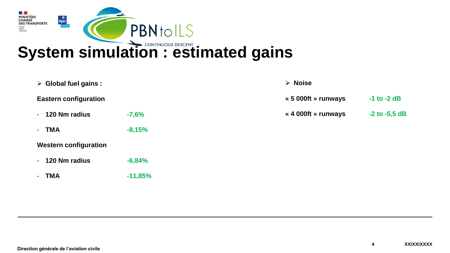

|           | $\triangleright$ Noise |                   |
|-----------|------------------------|-------------------|
|           | « 5 000ft » runways    | $-1$ to $-2$ dB   |
| $-7,6%$   | « 4 000ft » runways    | $-2$ to $-5,5$ dB |
| $-8,15%$  |                        |                   |
|           |                        |                   |
| $-6,84%$  |                        |                   |
| $-11,85%$ |                        |                   |
|           |                        |                   |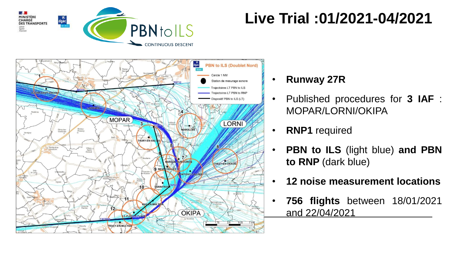

## **Live Trial :01/2021-04/2021**



- **Runway 27R**
- Published procedures for **3 IAF** : MOPAR/LORNI/OKIPA
- **RNP1** required
- **PBN to ILS** (light blue) **and PBN to RNP** (dark blue)
- **12 noise measurement locations**
- **756 flights** between 18/01/2021 and 22/04/2021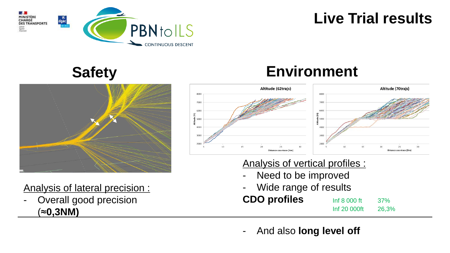

### **Live Trial results**

### **Safety**



Analysis of lateral precision :

Overall good precision (≈**0,3NM)**

### **Environment**



Analysis of vertical profiles :

- Need to be improved
- Wide range of results

### **CDO profiles** Inf 8 000 ft 37%

Inf 20 000ft 26,3%

- And also **long level off**